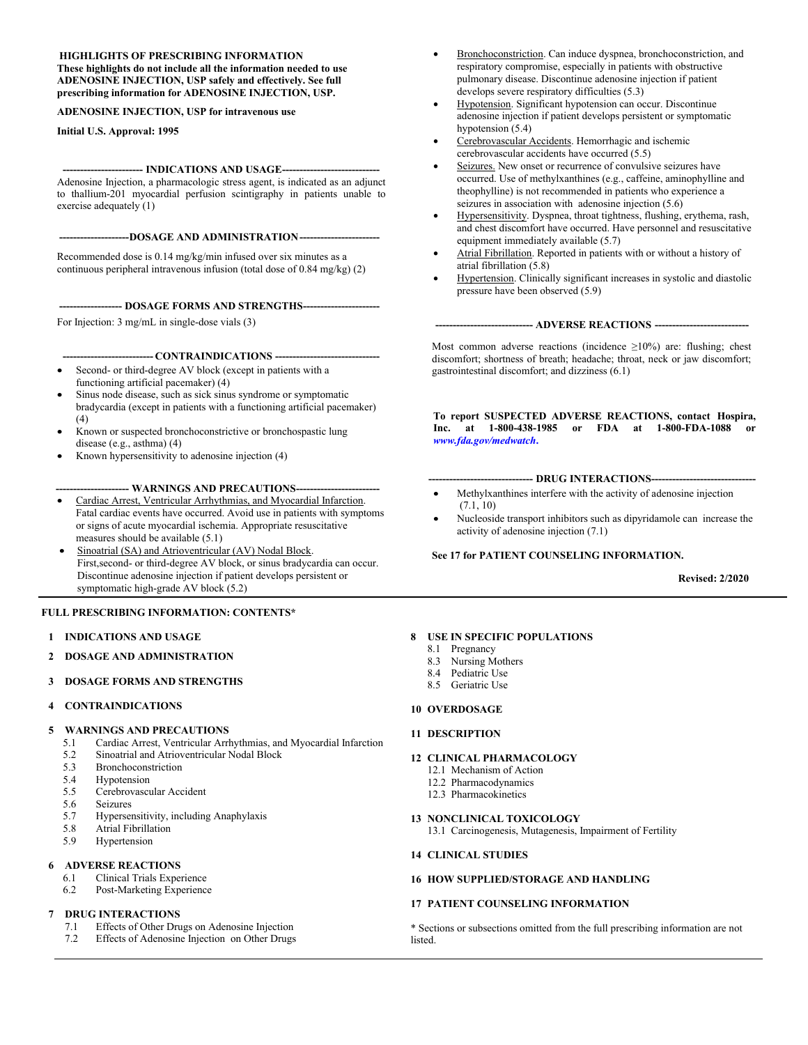#### **HIGHLIGHTS OF PRESCRIBING INFORMATION**

**These highlights do not include all the information needed to use ADENOSINE INJECTION, USP safely and effectively. See full prescribing information for ADENOSINE INJECTION, USP.**

**ADENOSINE INJECTION, USP for intravenous use** 

**Initial U.S. Approval: 1995**

#### **----------------------- INDICATIONS AND USAGE----------------------------**

Adenosine Injection, a pharmacologic stress agent, is indicated as an adjunct to thallium-201 myocardial perfusion scintigraphy in patients unable to exercise adequately (1)

----DOSAGE AND ADMINISTRATION----

Recommended dose is 0.14 mg/kg/min infused over six minutes as a continuous peripheral intravenous infusion (total dose of 0.84 mg/kg) (2)

**------------------ DOSAGE FORMS AND STRENGTHS----------------------**

For Injection: 3 mg/mL in single-dose vials (3)

#### **-------------------------- CONTRAINDICATIONS ------------------------------**

- Second- or third-degree AV block (except in patients with a functioning artificial pacemaker) (4)
- Sinus node disease, such as sick sinus syndrome or symptomatic bradycardia (except in patients with a functioning artificial pacemaker)  $(4)$
- Known or suspected bronchoconstrictive or bronchospastic lung disease (e.g., asthma) (4)
- Known hypersensitivity to adenosine injection (4)

#### **--------------------- WARNINGS AND PRECAUTIONS------------------------**

- Cardiac Arrest, Ventricular Arrhythmias, and Myocardial Infarction. Fatal cardiac events have occurred. Avoid use in patients with symptoms or signs of acute myocardial ischemia. Appropriate resuscitative measures should be available (5.1)
- Sinoatrial (SA) and Atrioventricular (AV) Nodal Block. First,second- or third-degree AV block, or sinus bradycardia can occur. Discontinue adenosine injection if patient develops persistent or symptomatic high-grade AV block (5.2)

#### **FULL PRESCRIBING INFORMATION: CONTENTS\***

- **1 INDICATIONS AND USAGE**
- **2 DOSAGE AND ADMINISTRATION**
- **3 DOSAGE FORMS AND STRENGTHS**

#### **4 CONTRAINDICATIONS**

#### **5 WARNINGS AND PRECAUTIONS**

- 5.1 Cardiac Arrest, Ventricular Arrhythmias, and Myocardial Infarction
- 5.2 Sinoatrial and Atrioventricular Nodal Block
- 5.3 Bronchoconstriction
- 5.4 Hypotension
- 5.5 Cerebrovascular Accident
- 5.6 Seizures<br>5.7 Hyperser
- 5.7 Hypersensitivity, including Anaphylaxis
- 5.8 Atrial Fibrillation<br>5.9 Hypertension
- Hypertension

#### **6 ADVERSE REACTIONS**

- 6.1 Clinical Trials Experience
- 6.2 Post-Marketing Experience

#### **7 DRUG INTERACTIONS**

- 7.1 Effects of Other Drugs on Adenosine Injection
- 7.2 Effects of Adenosine Injection on Other Drugs
- Bronchoconstriction. Can induce dyspnea, bronchoconstriction, and respiratory compromise, especially in patients with obstructive pulmonary disease. Discontinue adenosine injection if patient develops severe respiratory difficulties (5.3)
- Hypotension. Significant hypotension can occur. Discontinue adenosine injection if patient develops persistent or symptomatic hypotension (5.4)
- Cerebrovascular Accidents. Hemorrhagic and ischemic cerebrovascular accidents have occurred (5.5)
- Seizures. New onset or recurrence of convulsive seizures have occurred. Use of methylxanthines (e.g., caffeine, aminophylline and theophylline) is not recommended in patients who experience a seizures in association with adenosine injection  $(5.6)$
- Hypersensitivity. Dyspnea, throat tightness, flushing, erythema, rash, and chest discomfort have occurred. Have personnel and resuscitative equipment immediately available (5.7)
- Atrial Fibrillation. Reported in patients with or without a history of atrial fibrillation (5.8)
- Hypertension. Clinically significant increases in systolic and diastolic pressure have been observed (5.9)

#### **---------------------------- ADVERSE REACTIONS ---------------------------**

Most common adverse reactions (incidence ≥10%) are: flushing; chest discomfort; shortness of breath; headache; throat, neck or jaw discomfort; gastrointestinal discomfort; and dizziness (6.1)

**To report SUSPECTED ADVERSE REACTIONS, contact Hospira, Inc. at 1-800-438-1985 or FDA at 1-800-FDA-1088 or**  *[www.fda.gov/medwatch](http://www.fda.gov/medwatch.)***.**

#### **------------------------------ DRUG INTERACTIONS------------------------------**

- Methylxanthines interfere with the activity of adenosine injection (7.1, 10)
- Nucleoside transport inhibitors such as dipyridamole can increase the activity of adenosine injection (7.1)

#### **See 17 for PATIENT COUNSELING INFORMATION.**

**Revised: 2/2020**

#### **8 USE IN SPECIFIC POPULATIONS**

- 8.1 Pregnancy
- 8.3 Nursing Mothers
- 8.4 Pediatric Use
- 8.5 Geriatric Use

#### **10 OVERDOSAGE**

#### **11 DESCRIPTION**

#### **12 CLINICAL PHARMACOLOGY**

- 12.1 Mechanism of Action
- 12.2 Pharmacodynamics
- 12.3 Pharmacokinetics

#### **13 NONCLINICAL TOXICOLOGY**

13.1 Carcinogenesis, Mutagenesis, Impairment of Fertility

#### **14 CLINICAL STUDIES**

#### **16 HOW SUPPLIED/STORAGE AND HANDLING**

#### **17 PATIENT COUNSELING INFORMATION**

\* Sections or subsections omitted from the full prescribing information are not listed.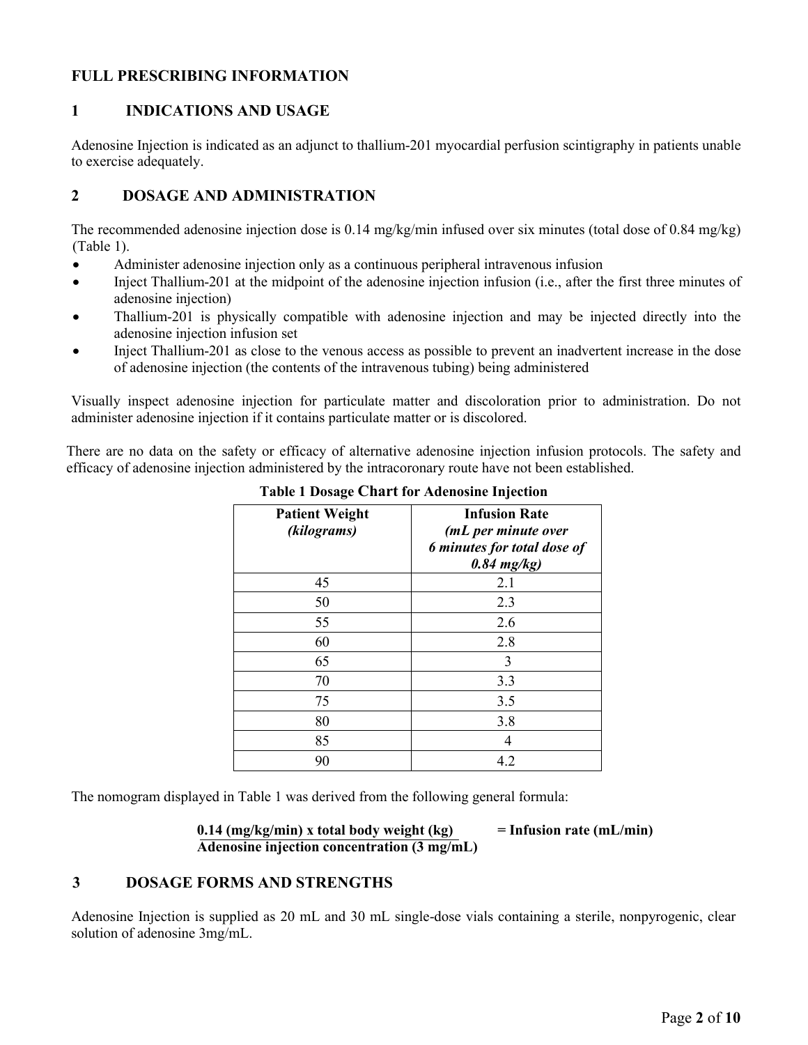# **FULL PRESCRIBING INFORMATION**

# **1 INDICATIONS AND USAGE**

Adenosine Injection is indicated as an adjunct to thallium-201 myocardial perfusion scintigraphy in patients unable to exercise adequately.

# **2 DOSAGE AND ADMINISTRATION**

The recommended adenosine injection dose is 0.14 mg/kg/min infused over six minutes (total dose of 0.84 mg/kg) (Table 1).

- Administer adenosine injection only as a continuous peripheral intravenous infusion
- Inject Thallium-201 at the midpoint of the adenosine injection infusion (i.e., after the first three minutes of adenosine injection)
- Thallium-201 is physically compatible with adenosine injection and may be injected directly into the adenosine injection infusion set
- Inject Thallium-201 as close to the venous access as possible to prevent an inadvertent increase in the dose of adenosine injection (the contents of the intravenous tubing) being administered

Visually inspect adenosine injection for particulate matter and discoloration prior to administration. Do not administer adenosine injection if it contains particulate matter or is discolored.

There are no data on the safety or efficacy of alternative adenosine injection infusion protocols. The safety and efficacy of adenosine injection administered by the intracoronary route have not been established.

| <b>Patient Weight</b><br>(kilograms) | <b>Infusion Rate</b><br>(mL per minute over<br>6 minutes for total dose of<br>$0.84$ mg/kg) |
|--------------------------------------|---------------------------------------------------------------------------------------------|
| 45                                   | 2.1                                                                                         |
| 50                                   | 2.3                                                                                         |
| 55                                   | 2.6                                                                                         |
| 60                                   | 2.8                                                                                         |
| 65                                   | 3                                                                                           |
| 70                                   | 3.3                                                                                         |
| 75                                   | 3.5                                                                                         |
| 80                                   | 3.8                                                                                         |
| 85                                   | 4                                                                                           |
| 90                                   | 4.2                                                                                         |

#### **Table 1 Dosage Chart for Adenosine Injection**

The nomogram displayed in Table 1 was derived from the following general formula:

#### **0.14 (mg/kg/min) x total body weight (kg) = Infusion rate (mL/min) Adenosine injection concentration (3 mg/mL)**

### **3 DOSAGE FORMS AND STRENGTHS**

Adenosine Injection is supplied as 20 mL and 30 mL single-dose vials containing a sterile, nonpyrogenic, clear solution of adenosine 3mg/mL.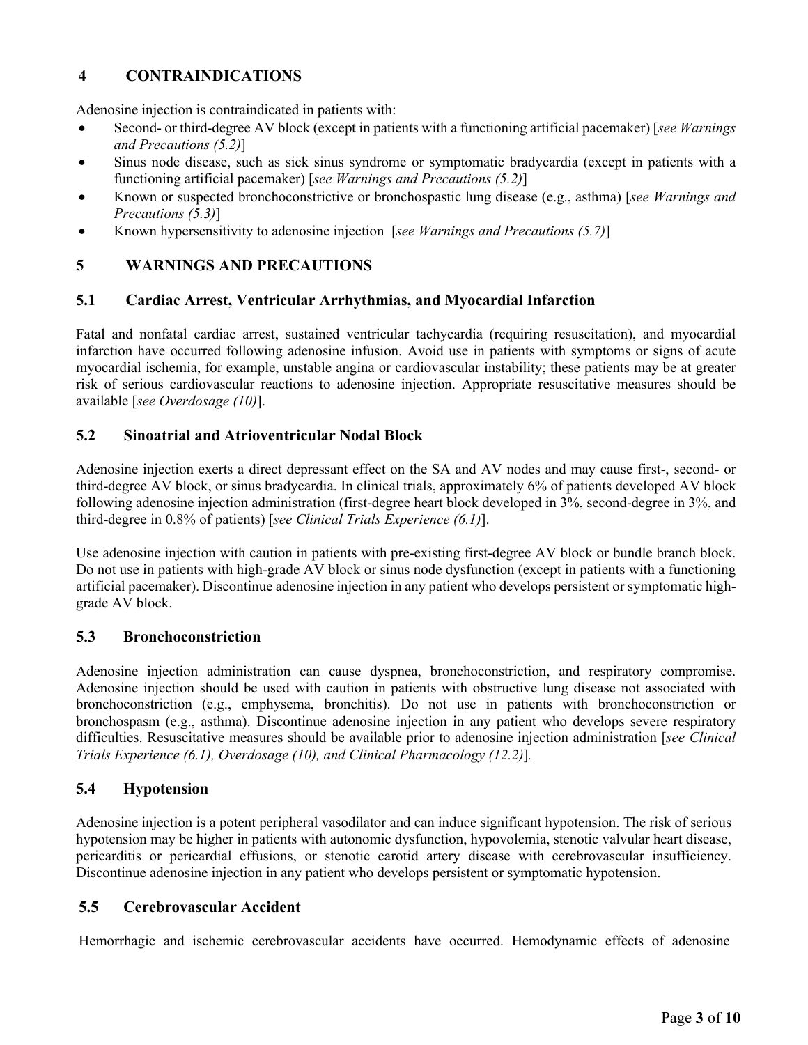# **4 CONTRAINDICATIONS**

Adenosine injection is contraindicated in patients with:

- Second- or third-degree AV block (except in patients with a functioning artificial pacemaker) [*see Warnings and Precautions (5.2)*]
- Sinus node disease, such as sick sinus syndrome or symptomatic bradycardia (except in patients with a functioning artificial pacemaker) [*see Warnings and Precautions (5.2)*]
- Known or suspected bronchoconstrictive or bronchospastic lung disease (e.g., asthma) [*see Warnings and Precautions (5.3)*]
- Known hypersensitivity to adenosine injection [*see Warnings and Precautions (5.7)*]

# **5 WARNINGS AND PRECAUTIONS**

### **5.1 Cardiac Arrest, Ventricular Arrhythmias, and Myocardial Infarction**

Fatal and nonfatal cardiac arrest, sustained ventricular tachycardia (requiring resuscitation), and myocardial infarction have occurred following adenosine infusion. Avoid use in patients with symptoms or signs of acute myocardial ischemia, for example, unstable angina or cardiovascular instability; these patients may be at greater risk of serious cardiovascular reactions to adenosine injection. Appropriate resuscitative measures should be available [*see Overdosage (10)*].

### **5.2 Sinoatrial and Atrioventricular Nodal Block**

Adenosine injection exerts a direct depressant effect on the SA and AV nodes and may cause first-, second- or third-degree AV block, or sinus bradycardia. In clinical trials, approximately 6% of patients developed AV block following adenosine injection administration (first-degree heart block developed in 3%, second-degree in 3%, and third-degree in 0.8% of patients) [*see Clinical Trials Experience (6.1)*].

Use adenosine injection with caution in patients with pre-existing first-degree AV block or bundle branch block. Do not use in patients with high-grade AV block or sinus node dysfunction (except in patients with a functioning artificial pacemaker). Discontinue adenosine injection in any patient who develops persistent or symptomatic highgrade AV block.

#### **5.3 Bronchoconstriction**

Adenosine injection administration can cause dyspnea, bronchoconstriction, and respiratory compromise. Adenosine injection should be used with caution in patients with obstructive lung disease not associated with bronchoconstriction (e.g., emphysema, bronchitis). Do not use in patients with bronchoconstriction or bronchospasm (e.g., asthma). Discontinue adenosine injection in any patient who develops severe respiratory difficulties. Resuscitative measures should be available prior to adenosine injection administration [*see Clinical Trials Experience (6.1), Overdosage (10), and Clinical Pharmacology (12.2)*]*.*

### **5.4 Hypotension**

Adenosine injection is a potent peripheral vasodilator and can induce significant hypotension. The risk of serious hypotension may be higher in patients with autonomic dysfunction, hypovolemia, stenotic valvular heart disease, pericarditis or pericardial effusions, or stenotic carotid artery disease with cerebrovascular insufficiency. Discontinue adenosine injection in any patient who develops persistent or symptomatic hypotension.

### **5.5 Cerebrovascular Accident**

Hemorrhagic and ischemic cerebrovascular accidents have occurred. Hemodynamic effects of adenosine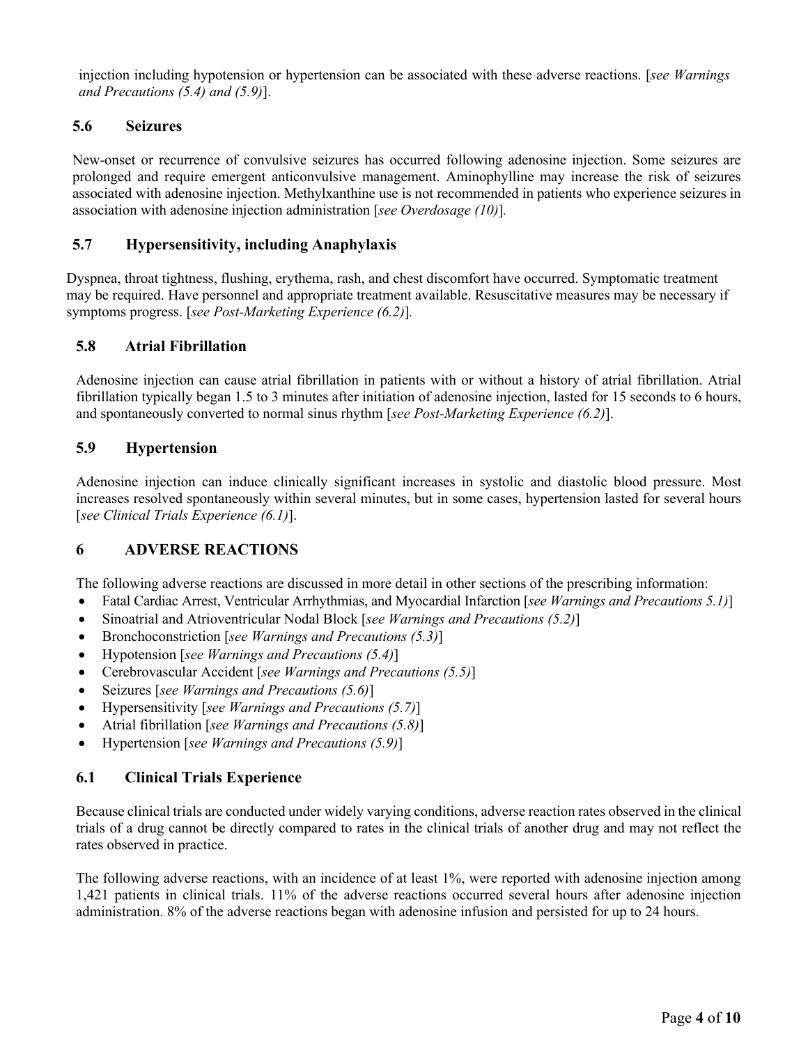injection including hypotension or hypertension can be associated with these adverse reactions. [*see Warnings and Precautions (5.4) and (5.9)*].

# **5.6 Seizures**

New-onset or recurrence of convulsive seizures has occurred following adenosine injection. Some seizures are prolonged and require emergent anticonvulsive management. Aminophylline may increase the risk of seizures associated with adenosine injection. Methylxanthine use is not recommended in patients who experience seizures in association with adenosine injection administration [*see Overdosage (10)*]*.*

# **5.7 Hypersensitivity, including Anaphylaxis**

Dyspnea, throat tightness, flushing, erythema, rash, and chest discomfort have occurred. Symptomatic treatment may be required. Have personnel and appropriate treatment available. Resuscitative measures may be necessary if symptoms progress. [*see Post-Marketing Experience (6.2)*]*.*

### **5.8 Atrial Fibrillation**

Adenosine injection can cause atrial fibrillation in patients with or without a history of atrial fibrillation. Atrial fibrillation typically began 1.5 to 3 minutes after initiation of adenosine injection, lasted for 15 seconds to 6 hours, and spontaneously converted to normal sinus rhythm [*see Post-Marketing Experience (6.2)*].

# **5.9 Hypertension**

Adenosine injection can induce clinically significant increases in systolic and diastolic blood pressure. Most increases resolved spontaneously within several minutes, but in some cases, hypertension lasted for several hours [*see Clinical Trials Experience (6.1)*].

### **6 ADVERSE REACTIONS**

The following adverse reactions are discussed in more detail in other sections of the prescribing information:

- Fatal Cardiac Arrest, Ventricular Arrhythmias, and Myocardial Infarction [*see Warnings and Precautions 5.1)*]
- Sinoatrial and Atrioventricular Nodal Block [*see Warnings and Precautions (5.2)*]
- Bronchoconstriction [*see Warnings and Precautions (5.3)*]
- Hypotension [*see Warnings and Precautions (5.4)*]
- Cerebrovascular Accident [*see Warnings and Precautions (5.5)*]
- Seizures [*see Warnings and Precautions (5.6)*]
- Hypersensitivity [*see Warnings and Precautions (5.7)*]
- Atrial fibrillation [*see Warnings and Precautions (5.8)*]
- Hypertension [*see Warnings and Precautions (5.9)*]

### **6.1 Clinical Trials Experience**

Because clinical trials are conducted under widely varying conditions, adverse reaction rates observed in the clinical trials of a drug cannot be directly compared to rates in the clinical trials of another drug and may not reflect the rates observed in practice.

The following adverse reactions, with an incidence of at least 1%, were reported with adenosine injection among 1,421 patients in clinical trials. 11% of the adverse reactions occurred several hours after adenosine injection administration. 8% of the adverse reactions began with adenosine infusion and persisted for up to 24 hours.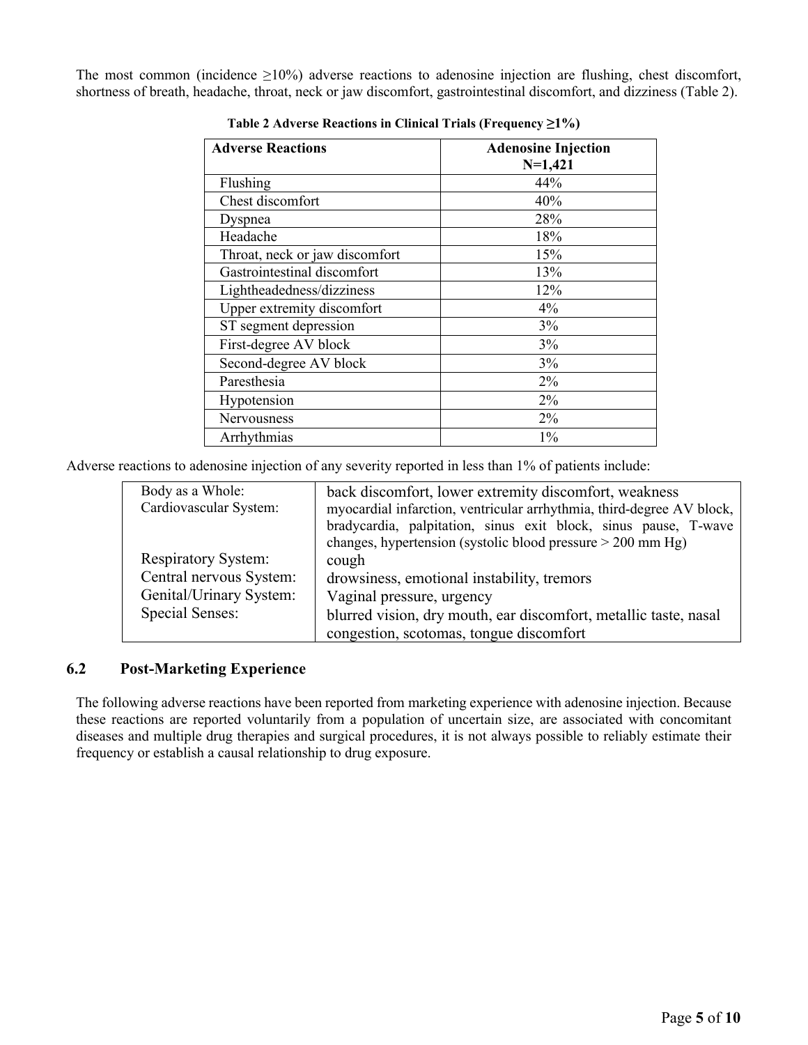The most common (incidence  $\geq 10\%$ ) adverse reactions to adenosine injection are flushing, chest discomfort, shortness of breath, headache, throat, neck or jaw discomfort, gastrointestinal discomfort, and dizziness (Table 2).

| <b>Adverse Reactions</b>       | <b>Adenosine Injection</b> |
|--------------------------------|----------------------------|
|                                | $N=1,421$                  |
| Flushing                       | 44%                        |
| Chest discomfort               | 40%                        |
| Dyspnea                        | 28%                        |
| Headache                       | 18%                        |
| Throat, neck or jaw discomfort | 15%                        |
| Gastrointestinal discomfort    | 13%                        |
| Lightheadedness/dizziness      | 12%                        |
| Upper extremity discomfort     | $4\%$                      |
| ST segment depression          | 3%                         |
| First-degree AV block          | 3%                         |
| Second-degree AV block         | 3%                         |
| Paresthesia                    | 2%                         |
| Hypotension                    | $2\%$                      |
| <b>Nervousness</b>             | $2\%$                      |
| Arrhythmias                    | $1\%$                      |

**Table 2 Adverse Reactions in Clinical Trials (Frequency ≥1%)**

Adverse reactions to adenosine injection of any severity reported in less than 1% of patients include:

| Body as a Whole:           | back discomfort, lower extremity discomfort, weakness                 |
|----------------------------|-----------------------------------------------------------------------|
| Cardiovascular System:     | myocardial infarction, ventricular arrhythmia, third-degree AV block, |
|                            | bradycardia, palpitation, sinus exit block, sinus pause, T-wave       |
|                            | changes, hypertension (systolic blood pressure $>$ 200 mm Hg)         |
| <b>Respiratory System:</b> | cough                                                                 |
| Central nervous System:    | drowsiness, emotional instability, tremors                            |
| Genital/Urinary System:    | Vaginal pressure, urgency                                             |
| Special Senses:            | blurred vision, dry mouth, ear discomfort, metallic taste, nasal      |
|                            | congestion, scotomas, tongue discomfort                               |

# **6.2 Post-Marketing Experience**

The following adverse reactions have been reported from marketing experience with adenosine injection. Because these reactions are reported voluntarily from a population of uncertain size, are associated with concomitant diseases and multiple drug therapies and surgical procedures, it is not always possible to reliably estimate their frequency or establish a causal relationship to drug exposure.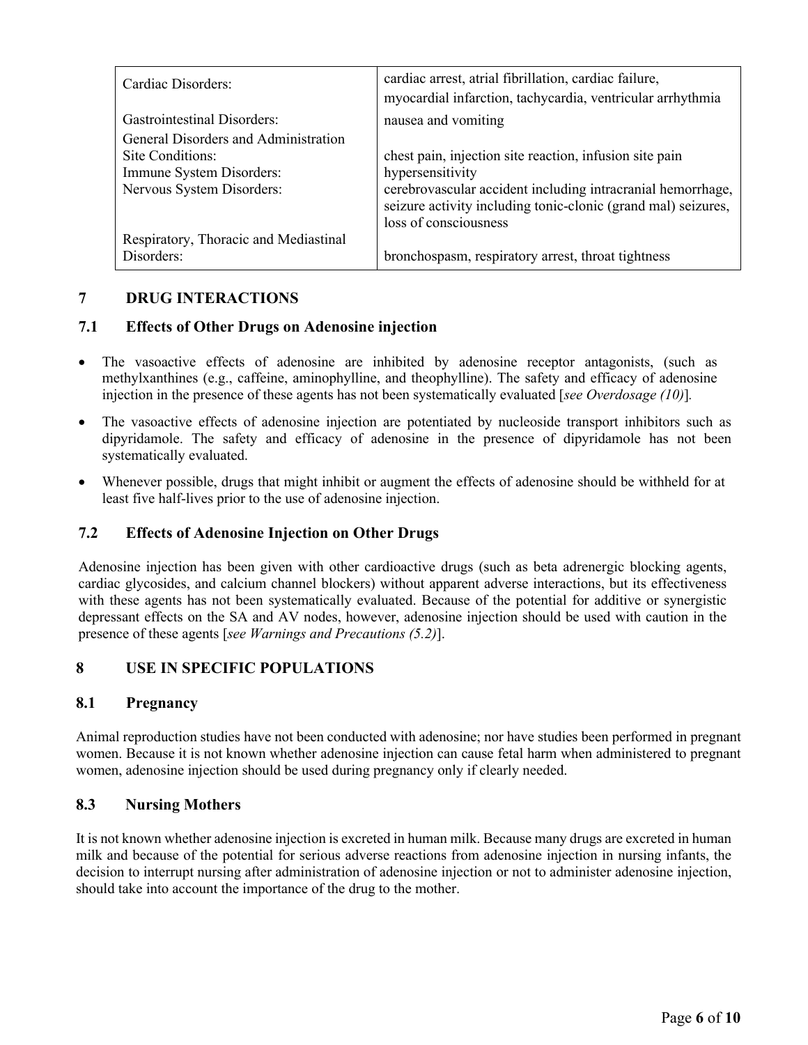| Cardiac Disorders:                    | cardiac arrest, atrial fibrillation, cardiac failure,<br>myocardial infarction, tachycardia, ventricular arrhythmia |
|---------------------------------------|---------------------------------------------------------------------------------------------------------------------|
| Gastrointestinal Disorders:           | nausea and vomiting                                                                                                 |
| General Disorders and Administration  |                                                                                                                     |
| Site Conditions:                      | chest pain, injection site reaction, infusion site pain                                                             |
| Immune System Disorders:              | hypersensitivity                                                                                                    |
| Nervous System Disorders:             | cerebrovascular accident including intracranial hemorrhage,                                                         |
|                                       | seizure activity including tonic-clonic (grand mal) seizures,                                                       |
|                                       | loss of consciousness                                                                                               |
| Respiratory, Thoracic and Mediastinal |                                                                                                                     |
| Disorders:                            | bronchospasm, respiratory arrest, throat tightness                                                                  |

# **7 DRUG INTERACTIONS**

# **7.1 Effects of Other Drugs on Adenosine injection**

- The vasoactive effects of adenosine are inhibited by adenosine receptor antagonists, (such as methylxanthines (e.g., caffeine, aminophylline, and theophylline). The safety and efficacy of adenosine injection in the presence of these agents has not been systematically evaluated [*see Overdosage (10)*]*.*
- The vasoactive effects of adenosine injection are potentiated by nucleoside transport inhibitors such as dipyridamole. The safety and efficacy of adenosine in the presence of dipyridamole has not been systematically evaluated.
- Whenever possible, drugs that might inhibit or augment the effects of adenosine should be withheld for at least five half-lives prior to the use of adenosine injection.

### **7.2 Effects of Adenosine Injection on Other Drugs**

Adenosine injection has been given with other cardioactive drugs (such as beta adrenergic blocking agents, cardiac glycosides, and calcium channel blockers) without apparent adverse interactions, but its effectiveness with these agents has not been systematically evaluated. Because of the potential for additive or synergistic depressant effects on the SA and AV nodes, however, adenosine injection should be used with caution in the presence of these agents [*see Warnings and Precautions (5.2)*].

# **8 USE IN SPECIFIC POPULATIONS**

### **8.1 Pregnancy**

Animal reproduction studies have not been conducted with adenosine; nor have studies been performed in pregnant women. Because it is not known whether adenosine injection can cause fetal harm when administered to pregnant women, adenosine injection should be used during pregnancy only if clearly needed.

### **8.3 Nursing Mothers**

It is not known whether adenosine injection is excreted in human milk. Because many drugs are excreted in human milk and because of the potential for serious adverse reactions from adenosine injection in nursing infants, the decision to interrupt nursing after administration of adenosine injection or not to administer adenosine injection, should take into account the importance of the drug to the mother.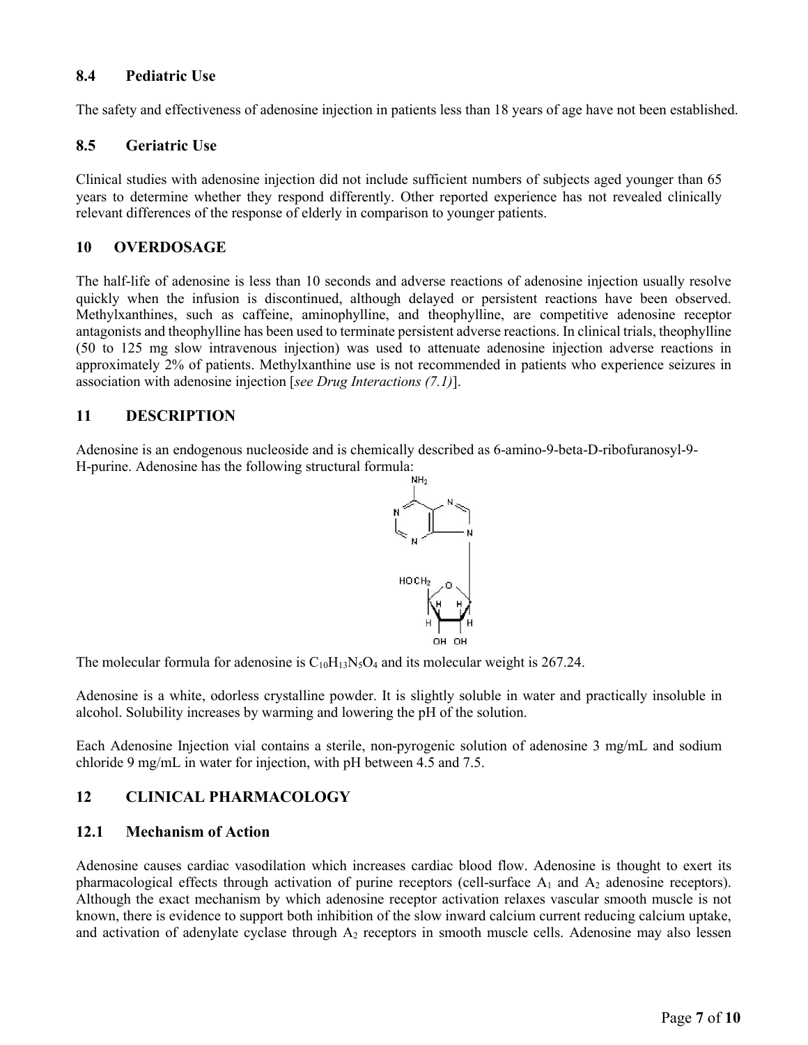### **8.4 Pediatric Use**

The safety and effectiveness of adenosine injection in patients less than 18 years of age have not been established.

### **8.5 Geriatric Use**

Clinical studies with adenosine injection did not include sufficient numbers of subjects aged younger than 65 years to determine whether they respond differently. Other reported experience has not revealed clinically relevant differences of the response of elderly in comparison to younger patients.

# **10 OVERDOSAGE**

The half-life of adenosine is less than 10 seconds and adverse reactions of adenosine injection usually resolve quickly when the infusion is discontinued, although delayed or persistent reactions have been observed. Methylxanthines, such as caffeine, aminophylline, and theophylline, are competitive adenosine receptor antagonists and theophylline has been used to terminate persistent adverse reactions. In clinical trials, theophylline (50 to 125 mg slow intravenous injection) was used to attenuate adenosine injection adverse reactions in approximately 2% of patients. Methylxanthine use is not recommended in patients who experience seizures in association with adenosine injection [*see Drug Interactions (7.1)*].

# **11 DESCRIPTION**

Adenosine is an endogenous nucleoside and is chemically described as 6-amino-9-beta-D-ribofuranosyl-9- H-purine. Adenosine has the following structural formula:



The molecular formula for adenosine is  $C_{10}H_{13}N_5O_4$  and its molecular weight is 267.24.

Adenosine is a white, odorless crystalline powder. It is slightly soluble in water and practically insoluble in alcohol. Solubility increases by warming and lowering the pH of the solution.

Each Adenosine Injection vial contains a sterile, non-pyrogenic solution of adenosine 3 mg/mL and sodium chloride 9 mg/mL in water for injection, with pH between 4.5 and 7.5.

# **12 CLINICAL PHARMACOLOGY**

### **12.1 Mechanism of Action**

Adenosine causes cardiac vasodilation which increases cardiac blood flow. Adenosine is thought to exert its pharmacological effects through activation of purine receptors (cell-surface  $A_1$  and  $A_2$  adenosine receptors). Although the exact mechanism by which adenosine receptor activation relaxes vascular smooth muscle is not known, there is evidence to support both inhibition of the slow inward calcium current reducing calcium uptake, and activation of adenylate cyclase through  $A_2$  receptors in smooth muscle cells. Adenosine may also lessen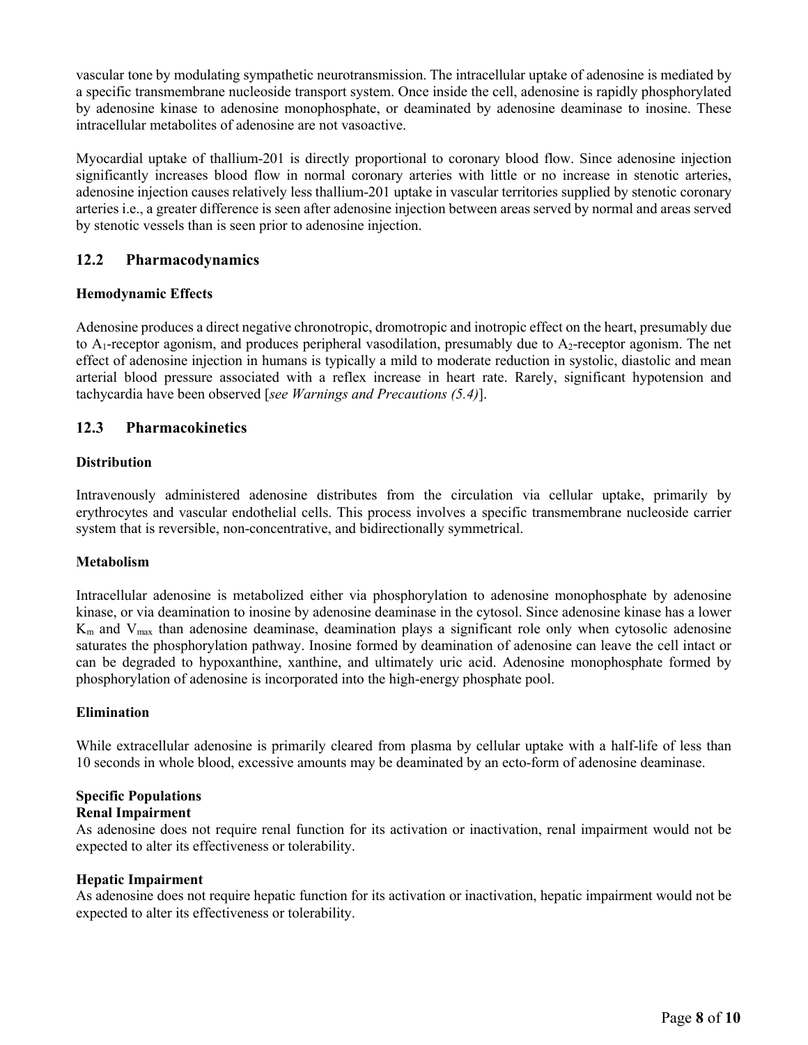vascular tone by modulating sympathetic neurotransmission. The intracellular uptake of adenosine is mediated by a specific transmembrane nucleoside transport system. Once inside the cell, adenosine is rapidly phosphorylated by adenosine kinase to adenosine monophosphate, or deaminated by adenosine deaminase to inosine. These intracellular metabolites of adenosine are not vasoactive.

Myocardial uptake of thallium-201 is directly proportional to coronary blood flow. Since adenosine injection significantly increases blood flow in normal coronary arteries with little or no increase in stenotic arteries, adenosine injection causes relatively less thallium-201 uptake in vascular territories supplied by stenotic coronary arteries i.e., a greater difference is seen after adenosine injection between areas served by normal and areas served by stenotic vessels than is seen prior to adenosine injection.

### **12.2 Pharmacodynamics**

### **Hemodynamic Effects**

Adenosine produces a direct negative chronotropic, dromotropic and inotropic effect on the heart, presumably due to  $A_1$ -receptor agonism, and produces peripheral vasodilation, presumably due to  $A_2$ -receptor agonism. The net effect of adenosine injection in humans is typically a mild to moderate reduction in systolic, diastolic and mean arterial blood pressure associated with a reflex increase in heart rate. Rarely, significant hypotension and tachycardia have been observed [*see Warnings and Precautions (5.4)*].

# **12.3 Pharmacokinetics**

#### **Distribution**

Intravenously administered adenosine distributes from the circulation via cellular uptake, primarily by erythrocytes and vascular endothelial cells. This process involves a specific transmembrane nucleoside carrier system that is reversible, non-concentrative, and bidirectionally symmetrical.

### **Metabolism**

Intracellular adenosine is metabolized either via phosphorylation to adenosine monophosphate by adenosine kinase, or via deamination to inosine by adenosine deaminase in the cytosol. Since adenosine kinase has a lower  $K_m$  and  $V_{max}$  than adenosine deaminase, deamination plays a significant role only when cytosolic adenosine saturates the phosphorylation pathway. Inosine formed by deamination of adenosine can leave the cell intact or can be degraded to hypoxanthine, xanthine, and ultimately uric acid. Adenosine monophosphate formed by phosphorylation of adenosine is incorporated into the high-energy phosphate pool.

#### **Elimination**

While extracellular adenosine is primarily cleared from plasma by cellular uptake with a half-life of less than 10 seconds in whole blood, excessive amounts may be deaminated by an ecto-form of adenosine deaminase.

# **Specific Populations**

# **Renal Impairment**

As adenosine does not require renal function for its activation or inactivation, renal impairment would not be expected to alter its effectiveness or tolerability.

#### **Hepatic Impairment**

As adenosine does not require hepatic function for its activation or inactivation, hepatic impairment would not be expected to alter its effectiveness or tolerability.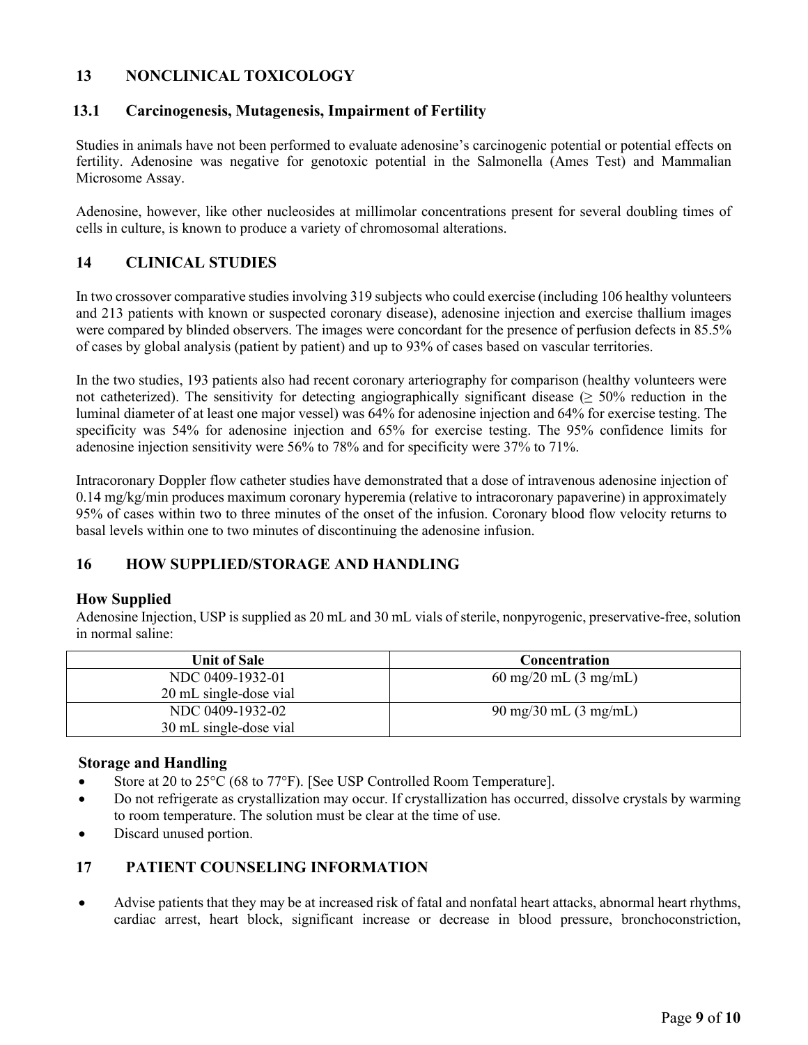# **13 NONCLINICAL TOXICOLOGY**

### **13.1 Carcinogenesis, Mutagenesis, Impairment of Fertility**

Studies in animals have not been performed to evaluate adenosine's carcinogenic potential or potential effects on fertility. Adenosine was negative for genotoxic potential in the Salmonella (Ames Test) and Mammalian Microsome Assay.

Adenosine, however, like other nucleosides at millimolar concentrations present for several doubling times of cells in culture, is known to produce a variety of chromosomal alterations.

# **14 CLINICAL STUDIES**

In two crossover comparative studies involving 319 subjects who could exercise (including 106 healthy volunteers and 213 patients with known or suspected coronary disease), adenosine injection and exercise thallium images were compared by blinded observers. The images were concordant for the presence of perfusion defects in 85.5% of cases by global analysis (patient by patient) and up to 93% of cases based on vascular territories.

In the two studies, 193 patients also had recent coronary arteriography for comparison (healthy volunteers were not catheterized). The sensitivity for detecting angiographically significant disease ( $\geq$  50% reduction in the luminal diameter of at least one major vessel) was 64% for adenosine injection and 64% for exercise testing. The specificity was 54% for adenosine injection and 65% for exercise testing. The 95% confidence limits for adenosine injection sensitivity were 56% to 78% and for specificity were 37% to 71%.

Intracoronary Doppler flow catheter studies have demonstrated that a dose of intravenous adenosine injection of 0.14 mg/kg/min produces maximum coronary hyperemia (relative to intracoronary papaverine) in approximately 95% of cases within two to three minutes of the onset of the infusion. Coronary blood flow velocity returns to basal levels within one to two minutes of discontinuing the adenosine infusion.

# **16 HOW SUPPLIED/STORAGE AND HANDLING**

### **How Supplied**

Adenosine Injection, USP is supplied as 20 mL and 30 mL vials of sterile, nonpyrogenic, preservative-free, solution in normal saline:

| <b>Unit of Sale</b>    | Concentration                   |
|------------------------|---------------------------------|
| NDC 0409-1932-01       | 60 mg/20 mL $(3 \text{ mg/mL})$ |
| 20 mL single-dose vial |                                 |
| NDC 0409-1932-02       | 90 mg/30 mL $(3 \text{ mg/mL})$ |
| 30 mL single-dose vial |                                 |

#### **Storage and Handling**

- Store at 20 to 25°C (68 to 77°F). [See USP Controlled Room Temperature].
- Do not refrigerate as crystallization may occur. If crystallization has occurred, dissolve crystals by warming to room temperature. The solution must be clear at the time of use.
- Discard unused portion.

### **17 PATIENT COUNSELING INFORMATION**

 Advise patients that they may be at increased risk of fatal and nonfatal heart attacks, abnormal heart rhythms, cardiac arrest, heart block, significant increase or decrease in blood pressure, bronchoconstriction,